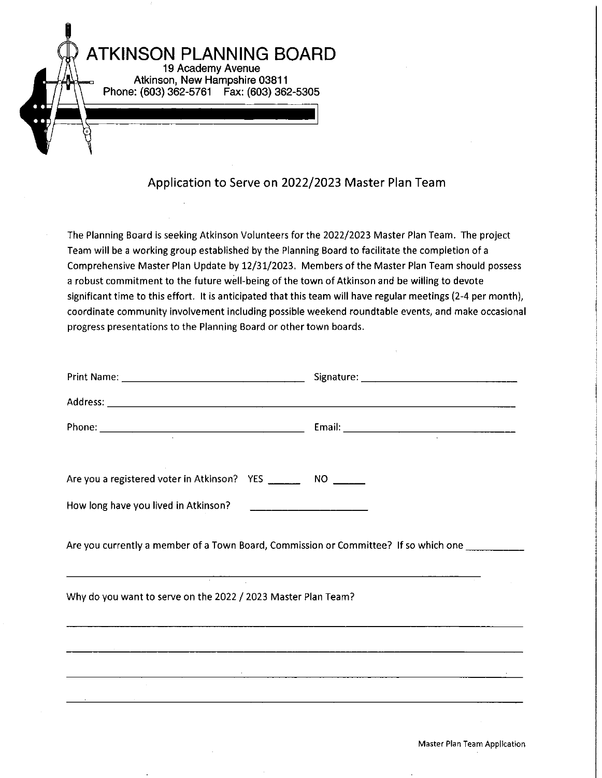

## Application to Serve on 2022/2023 Master Plan Team

The Planning Board is seeking Atkinson Volunteers for the 2022/2023 Master Plan Team. The project Team will be a working group established by the Planning Board to facilitate the completion of a Comprehensive Master Plan Update by 12/31/2023. Members of the Master Plan Team should possess a robust commitment to the future well-being of the town of Atkinson and be willing to devote significant time to this effort. It is anticipated that this team will have regular meetings (2-4 per month), coordinate community involvement including possible weekend roundtable events, and make occasional progress presentations to the Planning Board or other town boards.

| Are you a registered voter in Atkinson? YES _________ NO ______ |                                                                                                                       |
|-----------------------------------------------------------------|-----------------------------------------------------------------------------------------------------------------------|
|                                                                 |                                                                                                                       |
|                                                                 | Are you currently a member of a Town Board, Commission or Committee? If so which one _________                        |
| Why do you want to serve on the 2022 / 2023 Master Plan Team?   | <u> 1989 - Andrea Station Andrea Station (1989), actor a compositor de la compositor de la compositor de la compo</u> |
|                                                                 |                                                                                                                       |
|                                                                 |                                                                                                                       |
|                                                                 | ,我们也不能在这里,我们也不能不能不能不能不能不能不能不能不能不能不能不能不能不能不能不能。""我们不能不能不能不能不能不能不能不能不能不能不能不能不能不能不能                                      |
|                                                                 |                                                                                                                       |